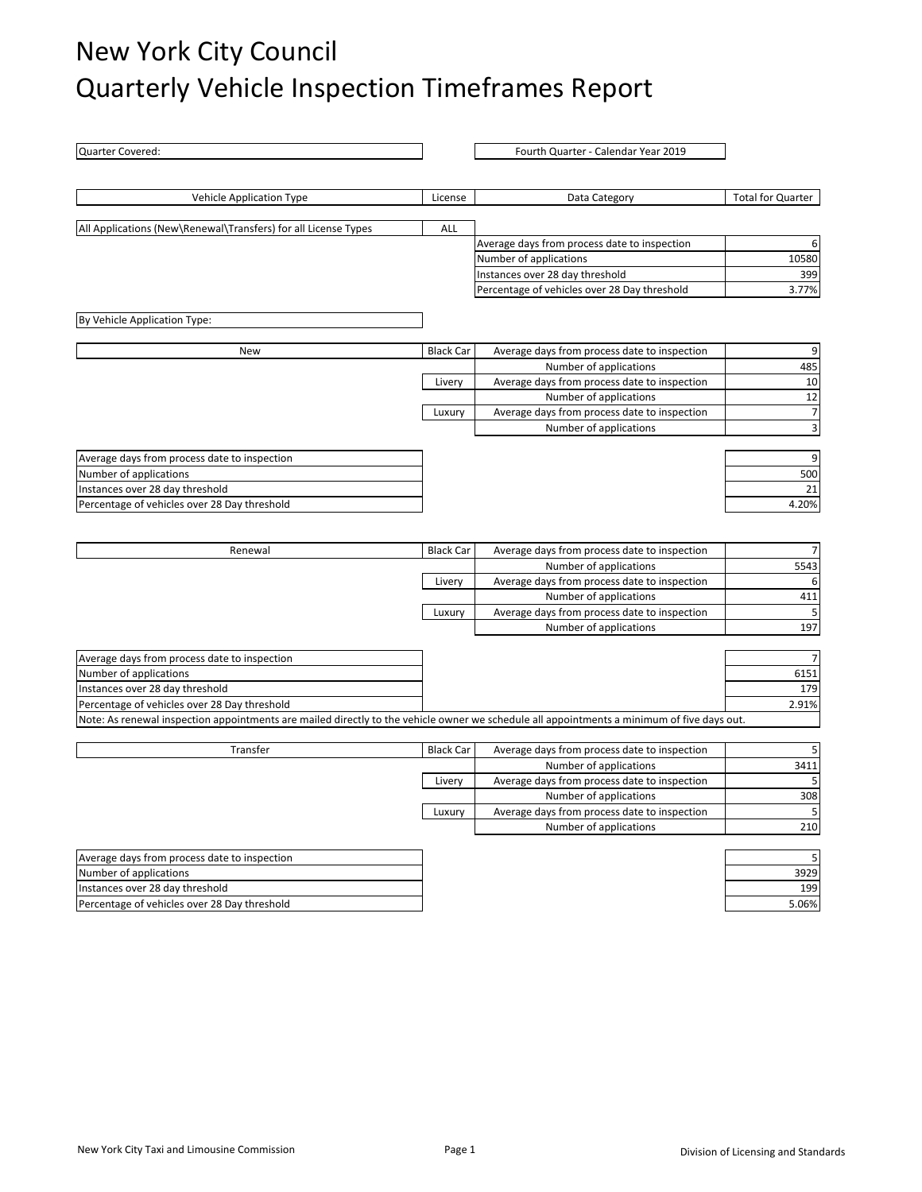## New York City Council Quarterly Vehicle Inspection Timeframes Report

| Quarter Covered:                                                                                                                           |                  | Fourth Quarter - Calendar Year 2019                                             |                           |
|--------------------------------------------------------------------------------------------------------------------------------------------|------------------|---------------------------------------------------------------------------------|---------------------------|
|                                                                                                                                            |                  |                                                                                 |                           |
| <b>Vehicle Application Type</b>                                                                                                            | License          | Data Category                                                                   | <b>Total for Quarter</b>  |
|                                                                                                                                            |                  |                                                                                 |                           |
| All Applications (New\Renewal\Transfers) for all License Types                                                                             | ALL              |                                                                                 |                           |
|                                                                                                                                            |                  | Average days from process date to inspection                                    | 6                         |
|                                                                                                                                            |                  | Number of applications                                                          | 10580                     |
|                                                                                                                                            |                  | Instances over 28 day threshold<br>Percentage of vehicles over 28 Day threshold | 399<br>3.77%              |
|                                                                                                                                            |                  |                                                                                 |                           |
| By Vehicle Application Type:                                                                                                               |                  |                                                                                 |                           |
| New                                                                                                                                        | <b>Black Car</b> | Average days from process date to inspection                                    | 9                         |
|                                                                                                                                            |                  | Number of applications                                                          | 485                       |
|                                                                                                                                            | Livery           | Average days from process date to inspection                                    | 10                        |
|                                                                                                                                            |                  | Number of applications                                                          | 12                        |
|                                                                                                                                            | Luxury           | Average days from process date to inspection                                    | $\overline{7}$            |
|                                                                                                                                            |                  | Number of applications                                                          | $\ensuremath{\mathsf{3}}$ |
| Average days from process date to inspection                                                                                               |                  |                                                                                 | 9                         |
| Number of applications                                                                                                                     |                  |                                                                                 | 500                       |
| Instances over 28 day threshold                                                                                                            |                  |                                                                                 | 21                        |
| Percentage of vehicles over 28 Day threshold                                                                                               |                  |                                                                                 | 4.20%                     |
|                                                                                                                                            |                  |                                                                                 |                           |
| Renewal                                                                                                                                    | <b>Black Car</b> | Average days from process date to inspection                                    |                           |
|                                                                                                                                            |                  | Number of applications                                                          | 5543                      |
|                                                                                                                                            | Livery           | Average days from process date to inspection                                    | 6                         |
|                                                                                                                                            |                  | Number of applications                                                          | 411                       |
|                                                                                                                                            | Luxury           | Average days from process date to inspection                                    | 5                         |
|                                                                                                                                            |                  | Number of applications                                                          | 197                       |
|                                                                                                                                            |                  |                                                                                 | 7                         |
| Average days from process date to inspection<br>Number of applications                                                                     |                  |                                                                                 | 6151                      |
| Instances over 28 day threshold                                                                                                            |                  |                                                                                 | 179                       |
| Percentage of vehicles over 28 Day threshold                                                                                               |                  |                                                                                 | 2.91%                     |
| Note: As renewal inspection appointments are mailed directly to the vehicle owner we schedule all appointments a minimum of five days out. |                  |                                                                                 |                           |
|                                                                                                                                            |                  |                                                                                 |                           |
| Transfer                                                                                                                                   | <b>Black Car</b> | Average days from process date to inspection                                    | 5                         |
|                                                                                                                                            |                  | Number of applications                                                          | 3411                      |
|                                                                                                                                            | Livery           | Average days from process date to inspection                                    | 5                         |
|                                                                                                                                            |                  | Number of applications                                                          | 308                       |
|                                                                                                                                            | Luxury           | Average days from process date to inspection                                    | 5                         |
|                                                                                                                                            |                  | Number of applications                                                          | 210                       |
| Average days from process date to inspection                                                                                               |                  |                                                                                 |                           |
| Number of applications                                                                                                                     |                  |                                                                                 | 3929                      |
| Instances over 28 day threshold                                                                                                            |                  |                                                                                 | 199                       |
| Percentage of vehicles over 28 Day threshold                                                                                               |                  |                                                                                 | 5.06%                     |
|                                                                                                                                            |                  |                                                                                 |                           |